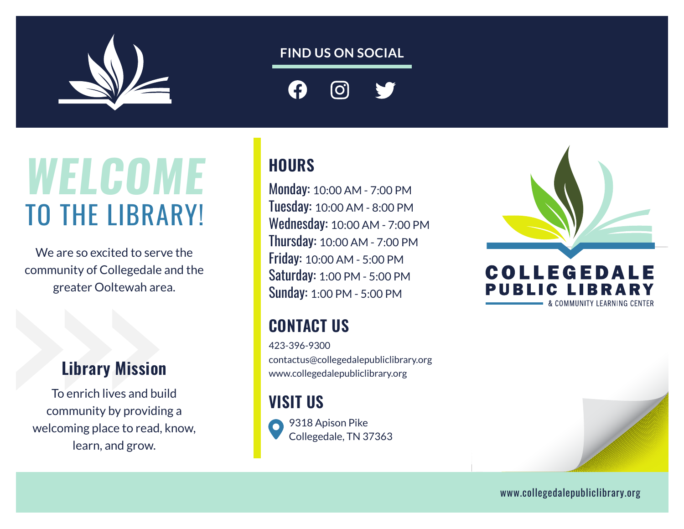

#### **FIND US ON SOCIAL**

**[O]** 

# *WELCOME* TO THE LIBRARY!

We are so excited to serve the community of Collegedale and the greater Ooltewah area.

### Library Mission

To enrich lives and build community by providing a welcoming place to read, know, learn, and grow.

#### **HOURS**

Monday: 10:00 AM - 7:00 PM Tuesday: 10:00 AM - 8:00 PM Wednesday: 10:00 AM - 7:00 PM Thursday: 10:00 AM - 7:00 PM Friday: 10:00 AM - 5:00 PM Saturday: 1:00 PM - 5:00 PM Sunday: 1:00 PM - 5:00 PM

### CONTACT US

423-396-9300 contactus@collegedalepubliclibrary.org www.collegedalepubliclibrary.org

#### VISIT US



9318 Apison Pike Collegedale, TN 37363





www.collegedalepubliclibrary.org